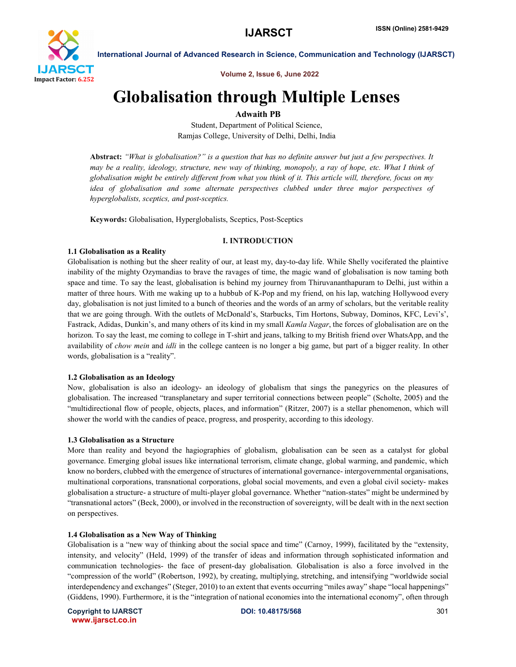

Volume 2, Issue 6, June 2022

# Globalisation through Multiple Lenses

Adwaith PB

Student, Department of Political Science, Ramjas College, University of Delhi, Delhi, India

Abstract: *"What is globalisation?" is a question that has no definite answer but just a few perspectives. It may be a reality, ideology, structure, new way of thinking, monopoly, a ray of hope, etc. What I think of globalisation might be entirely different from what you think of it. This article will, therefore, focus on my idea of globalisation and some alternate perspectives clubbed under three major perspectives of hyperglobalists, sceptics, and post-sceptics.*

Keywords: Globalisation, Hyperglobalists, Sceptics, Post-Sceptics

# I. INTRODUCTION

# 1.1 Globalisation as a Reality

Globalisation is nothing but the sheer reality of our, at least my, day-to-day life. While Shelly vociferated the plaintive inability of the mighty Ozymandias to brave the ravages of time, the magic wand of globalisation is now taming both space and time. To say the least, globalisation is behind my journey from Thiruvananthapuram to Delhi, just within a matter of three hours. With me waking up to a hubbub of K-Pop and my friend, on his lap, watching Hollywood every day, globalisation is not just limited to a bunch of theories and the words of an army of scholars, but the veritable reality that we are going through. With the outlets of McDonald's, Starbucks, Tim Hortons, Subway, Dominos, KFC, Levi's', Fastrack, Adidas, Dunkin's, and many others of its kind in my small *Kamla Nagar*, the forces of globalisation are on the horizon. To say the least, me coming to college in T-shirt and jeans, talking to my British friend over WhatsApp, and the availability of *chow mein* and *idli* in the college canteen is no longer a big game, but part of a bigger reality. In other words, globalisation is a "reality".

# 1.2 Globalisation as an Ideology

Now, globalisation is also an ideology- an ideology of globalism that sings the panegyrics on the pleasures of globalisation. The increased "transplanetary and super territorial connections between people" (Scholte, 2005) and the "multidirectional flow of people, objects, places, and information" (Ritzer, 2007) is a stellar phenomenon, which will shower the world with the candies of peace, progress, and prosperity, according to this ideology.

# 1.3 Globalisation as a Structure

More than reality and beyond the hagiographies of globalism, globalisation can be seen as a catalyst for global governance. Emerging global issues like international terrorism, climate change, global warming, and pandemic, which know no borders, clubbed with the emergence of structures of international governance- intergovernmental organisations, multinational corporations, transnational corporations, global social movements, and even a global civil society- makes globalisation a structure- a structure of multi-player global governance. Whether "nation-states" might be undermined by "transnational actors" (Beck, 2000), or involved in the reconstruction of sovereignty, will be dealt with in the next section on perspectives.

# 1.4 Globalisation as a New Way of Thinking

Globalisation is a "new way of thinking about the social space and time" (Carnoy, 1999), facilitated by the "extensity, intensity, and velocity" (Held, 1999) of the transfer of ideas and information through sophisticated information and communication technologies- the face of present-day globalisation. Globalisation is also a force involved in the "compression of the world" (Robertson, 1992), by creating, multiplying, stretching, and intensifying "worldwide social interdependency and exchanges" (Steger, 2010) to an extent that events occurring "miles away" shape "local happenings" (Giddens, 1990). Furthermore, it is the "integration of national economies into the international economy", often through

Copyright to IJARSCT **DOI: 10.48175/568** 301 www.ijarsct.co.in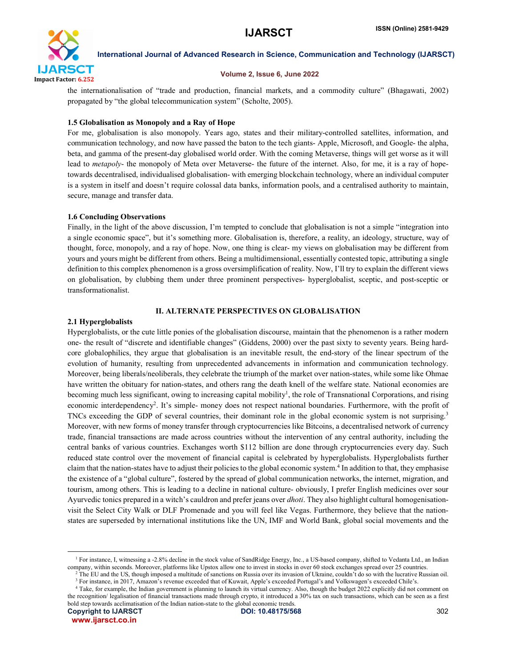

#### Volume 2, Issue 6, June 2022

the internationalisation of "trade and production, financial markets, and a commodity culture" (Bhagawati, 2002) propagated by "the global telecommunication system" (Scholte, 2005).

# 1.5 Globalisation as Monopoly and a Ray of Hope

For me, globalisation is also monopoly. Years ago, states and their military-controlled satellites, information, and communication technology, and now have passed the baton to the tech giants- Apple, Microsoft, and Google- the alpha, beta, and gamma of the present-day globalised world order. With the coming Metaverse, things will get worse as it will lead to *metapoly*- the monopoly of Meta over Metaverse- the future of the internet. Also, for me, it is a ray of hopetowards decentralised, individualised globalisation- with emerging blockchain technology, where an individual computer is a system in itself and doesn't require colossal data banks, information pools, and a centralised authority to maintain, secure, manage and transfer data.

# 1.6 Concluding Observations

Finally, in the light of the above discussion, I'm tempted to conclude that globalisation is not a simple "integration into a single economic space", but it's something more. Globalisation is, therefore, a reality, an ideology, structure, way of thought, force, monopoly, and a ray of hope. Now, one thing is clear- my views on globalisation may be different from yours and yours might be different from others. Being a multidimensional, essentially contested topic, attributing a single definition to this complex phenomenon is a gross oversimplification of reality. Now, I'll try to explain the different views on globalisation, by clubbing them under three prominent perspectives- hyperglobalist, sceptic, and post-sceptic or transformationalist.

# II. ALTERNATE PERSPECTIVES ON GLOBALISATION

# 2.1 Hyperglobalists

Hyperglobalists, or the cute little ponies of the globalisation discourse, maintain that the phenomenon is a rather modern one- the result of "discrete and identifiable changes" (Giddens, 2000) over the past sixty to seventy years. Being hardcore globalophilics, they argue that globalisation is an inevitable result, the end-story of the linear spectrum of the evolution of humanity, resulting from unprecedented advancements in information and communication technology. Moreover, being liberals/neoliberals, they celebrate the triumph of the market over nation-states, while some like Ohmae have written the obituary for nation-states, and others rang the death knell of the welfare state. National economies are becoming much less significant, owing to increasing capital mobility<sup>1</sup>, the role of Transnational Corporations, and rising economic interdependency<sup>2</sup>. It's simple- money does not respect national boundaries. Furthermore, with the profit of TNCs exceeding the GDP of several countries, their dominant role in the global economic system is not surprising.<sup>3</sup> Moreover, with new forms of money transfer through cryptocurrencies like Bitcoins, a decentralised network of currency trade, financial transactions are made across countries without the intervention of any central authority, including the central banks of various countries. Exchanges worth \$112 billion are done through cryptocurrencies every day. Such reduced state control over the movement of financial capital is celebrated by hyperglobalists. Hyperglobalists further claim that the nation-states have to adjust their policies to the global economic system.4 In addition to that, they emphasise the existence of a "global culture", fostered by the spread of global communication networks, the internet, migration, and tourism, among others. This is leading to a decline in national culture- obviously, I prefer English medicines over sour Ayurvedic tonics prepared in a witch's cauldron and prefer jeans over *dhoti*. They also highlight cultural homogenisationvisit the Select City Walk or DLF Promenade and you will feel like Vegas. Furthermore, they believe that the nationstates are superseded by international institutions like the UN, IMF and World Bank, global social movements and the

<sup>&</sup>lt;sup>1</sup> For instance, I, witnessing a -2.8% decline in the stock value of SandRidge Energy, Inc., a US-based company, shifted to Vedanta Ltd., an Indian company, within seconds. Moreover, platforms like Upstox allow one to invest in stocks in over 60 stock exchanges spread over 25 countries.

<sup>2</sup> The EU and the US, though imposed a multitude of sanctions on Russia over its invasion of Ukraine, couldn't do so with the lucrative Russian oil. <sup>3</sup> For instance, in 2017, Amazon's revenue exceeded that of Kuwait, Apple's exceeded Portugal's and Volkswagen's exceeded Chile's.

<sup>4</sup> Take, for example, the Indian government is planning to launch its virtual currency. Also, though the budget 2022 explicitly did not comment on the recognition/ legalisation of financial transactions made through crypto, it introduced a 30% tax on such transactions, which can be seen as a first bold step towards acclimatisation of the Indian nation-state to the global economic trends.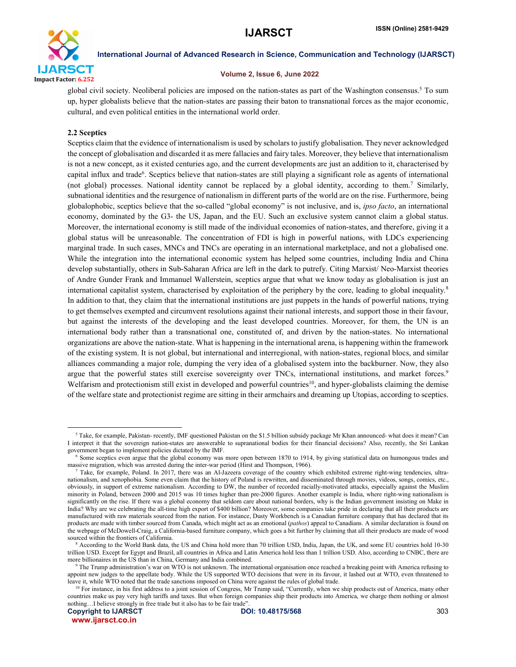

#### Volume 2, Issue 6, June 2022

global civil society. Neoliberal policies are imposed on the nation-states as part of the Washington consensus.5 To sum up, hyper globalists believe that the nation-states are passing their baton to transnational forces as the major economic, cultural, and even political entities in the international world order.

# 2.2 Sceptics

Sceptics claim that the evidence of internationalism is used by scholars to justify globalisation. They never acknowledged the concept of globalisation and discarded it as mere fallacies and fairy tales. Moreover, they believe that internationalism is not a new concept, as it existed centuries ago, and the current developments are just an addition to it, characterised by capital influx and trade<sup>6</sup>. Sceptics believe that nation-states are still playing a significant role as agents of international (not global) processes. National identity cannot be replaced by a global identity, according to them.7 Similarly, subnational identities and the resurgence of nationalism in different parts of the world are on the rise. Furthermore, being globalophobic, sceptics believe that the so-called "global economy" is not inclusive, and is, *ipso facto*, an international economy, dominated by the G3- the US, Japan, and the EU. Such an exclusive system cannot claim a global status. Moreover, the international economy is still made of the individual economies of nation-states, and therefore, giving it a global status will be unreasonable. The concentration of FDI is high in powerful nations, with LDCs experiencing marginal trade. In such cases, MNCs and TNCs are operating in an international marketplace, and not a globalised one. While the integration into the international economic system has helped some countries, including India and China develop substantially, others in Sub-Saharan Africa are left in the dark to putrefy. Citing Marxist/ Neo-Marxist theories of Andre Gunder Frank and Immanuel Wallerstein, sceptics argue that what we know today as globalisation is just an international capitalist system, characterised by exploitation of the periphery by the core, leading to global inequality.8 In addition to that, they claim that the international institutions are just puppets in the hands of powerful nations, trying to get themselves exempted and circumvent resolutions against their national interests, and support those in their favour, but against the interests of the developing and the least developed countries. Moreover, for them, the UN is an international body rather than a transnational one, constituted of, and driven by the nation-states. No international organizations are above the nation-state. What is happening in the international arena, is happening within the framework of the existing system. It is not global, but international and interregional, with nation-states, regional blocs, and similar alliances commanding a major role, dumping the very idea of a globalised system into the backburner. Now, they also argue that the powerful states still exercise sovereignty over TNCs, international institutions, and market forces.<sup>9</sup> Welfarism and protectionism still exist in developed and powerful countries<sup>10</sup>, and hyper-globalists claiming the demise of the welfare state and protectionist regime are sitting in their armchairs and dreaming up Utopias, according to sceptics.

 $5$  Take, for example, Pakistan- recently, IMF questioned Pakistan on the \$1.5 billion subsidy package Mr Khan announced- what does it mean? Can I interpret it that the sovereign nation-states are answerable to supranational bodies for their financial decisions? Also, recently, the Sri Lankan government began to implement policies dictated by the IMF.

<sup>6</sup> Some sceptics even argue that the global economy was more open between 1870 to 1914, by giving statistical data on humongous trades and massive migration, which was arrested during the inter-war period (Hirst and Thompson, 1966).

 $^7$  Take, for example, Poland. In 2017, there was an Al-Jazeera coverage of the country which exhibited extreme right-wing tendencies, ultranationalism, and xenophobia. Some even claim that the history of Poland is rewritten, and disseminated through movies, videos, songs, comics, etc., obviously, in support of extreme nationalism. According to DW, the number of recorded racially-motivated attacks, especially against the Muslim minority in Poland, between 2000 and 2015 was 10 times higher than pre-2000 figures. Another example is India, where right-wing nationalism is significantly on the rise. If there was a global economy that seldom care about national borders, why is the Indian government insisting on Make in India? Why are we celebrating the all-time high export of \$400 billion? Moreover, some companies take pride in declaring that all their products are manufactured with raw materials sourced from the nation. For instance, Dusty Workbench is a Canadian furniture company that has declared that its products are made with timber sourced from Canada, which might act as an emotional (*pathos*) appeal to Canadians. A similar declaration is found on the webpage of McDowell-Craig, a California-based furniture company, which goes a bit further by claiming that all their products are made of wood sourced within the frontiers of California.

<sup>8</sup> According to the World Bank data, the US and China hold more than 70 trillion USD, India, Japan, the UK, and some EU countries hold 10-30 trillion USD. Except for Egypt and Brazil, all countries in Africa and Latin America hold less than 1 trillion USD. Also, according to CNBC, there are more billionaires in the US than in China, Germany and India combined.

 $9$  The Trump administration's war on WTO is not unknown. The international organisation once reached a breaking point with America refusing to appoint new judges to the appellate body. While the US supported WTO decisions that were in its favour, it lashed out at WTO, even threatened to leave it, while WTO noted that the trade sanctions imposed on China were against the rules of global trade.

<sup>&</sup>lt;sup>10</sup> For instance, in his first address to a joint session of Congress, Mr Trump said, "Currently, when we ship products out of America, many other countries make us pay very high tariffs and taxes. But when foreign companies ship their products into America, we charge them nothing or almost nothing…I believe strongly in free trade but it also has to be fair trade".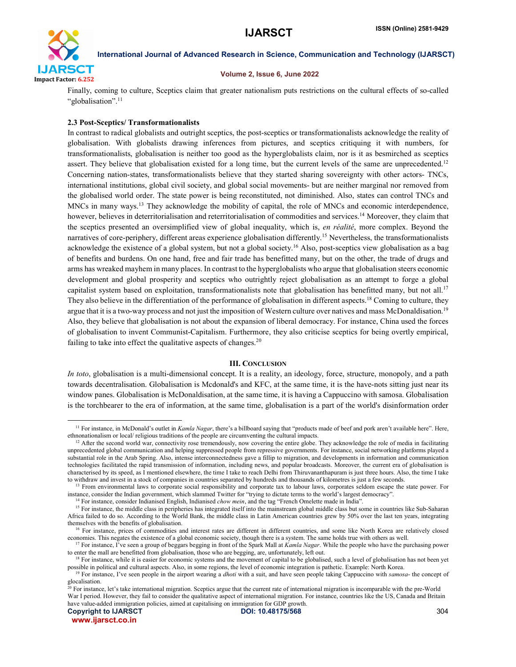

### Volume 2, Issue 6, June 2022

Finally, coming to culture, Sceptics claim that greater nationalism puts restrictions on the cultural effects of so-called "globalisation".<sup>11</sup>

# 2.3 Post-Sceptics/ Transformationalists

In contrast to radical globalists and outright sceptics, the post-sceptics or transformationalists acknowledge the reality of globalisation. With globalists drawing inferences from pictures, and sceptics critiquing it with numbers, for transformationalists, globalisation is neither too good as the hyperglobalists claim, nor is it as besmirched as sceptics assert. They believe that globalisation existed for a long time, but the current levels of the same are unprecedented.<sup>12</sup> Concerning nation-states, transformationalists believe that they started sharing sovereignty with other actors- TNCs, international institutions, global civil society, and global social movements- but are neither marginal nor removed from the globalised world order. The state power is being reconstituted, not diminished. Also, states can control TNCs and MNCs in many ways.13 They acknowledge the mobility of capital, the role of MNCs and economic interdependence, however, believes in deterritorialisation and reterritorialisation of commodities and services.<sup>14</sup> Moreover, they claim that the sceptics presented an oversimplified view of global inequality, which is, *en réalité*, more complex. Beyond the narratives of core-periphery, different areas experience globalisation differently.<sup>15</sup> Nevertheless, the transformationalists acknowledge the existence of a global system, but not a global society.16 Also, post-sceptics view globalisation as a bag of benefits and burdens. On one hand, free and fair trade has benefitted many, but on the other, the trade of drugs and arms has wreaked mayhem in many places. In contrast to the hyperglobalists who argue that globalisation steers economic development and global prosperity and sceptics who outrightly reject globalisation as an attempt to forge a global capitalist system based on exploitation, transformationalists note that globalisation has benefitted many, but not all.<sup>17</sup> They also believe in the differentiation of the performance of globalisation in different aspects.<sup>18</sup> Coming to culture, they argue that it is a two-way process and not just the imposition of Western culture over natives and mass McDonaldisation.<sup>19</sup> Also, they believe that globalisation is not about the expansion of liberal democracy. For instance, China used the forces of globalisation to invent Communist-Capitalism. Furthermore, they also criticise sceptics for being overtly empirical, failing to take into effect the qualitative aspects of changes.<sup>20</sup>

# III. CONCLUSION

*In toto*, globalisation is a multi-dimensional concept. It is a reality, an ideology, force, structure, monopoly, and a path towards decentralisation. Globalisation is Mcdonald's and KFC, at the same time, it is the have-nots sitting just near its window panes. Globalisation is McDonaldisation, at the same time, it is having a Cappuccino with samosa. Globalisation is the torchbearer to the era of information, at the same time, globalisation is a part of the world's disinformation order

<sup>&</sup>lt;sup>11</sup> For instance, in McDonald's outlet in *Kamla Nagar*, there's a billboard saying that "products made of beef and pork aren't available here". Here, ethnonationalism or local/ religious traditions of the people are circumventing the cultural impacts.

<sup>&</sup>lt;sup>12</sup> After the second world war, connectivity rose tremendously, now covering the entire globe. They acknowledge the role of media in facilitating unprecedented global communication and helping suppressed people from repressive governments. For instance, social networking platforms played a substantial role in the Arab Spring. Also, intense interconnectedness gave a fillip to migration, and developments in information and communication technologies facilitated the rapid transmission of information, including news, and popular broadcasts. Moreover, the current era of globalisation is characterised by its speed, as I mentioned elsewhere, the time I take to reach Delhi from Thiruvananthapuram is just three hours. Also, the time I take to withdraw and invest in a stock of companies in countries separated by hundreds and thousands of kilometres is just a few seconds.

<sup>&</sup>lt;sup>13</sup> From environmental laws to corporate social responsibility and corporate tax to labour laws, corporates seldom escape the state power. For instance, consider the Indian government, which slammed Twitter for "trying to dictate terms to the world's largest democracy".

<sup>&</sup>lt;sup>14</sup> For instance, consider Indianised English, Indianised *chow mein*, and the tag "French Omelette made in India".

<sup>&</sup>lt;sup>15</sup> For instance, the middle class in peripheries has integrated itself into the mainstream global middle class but some in countries like Sub-Saharan Africa failed to do so. According to the World Bank, the middle class in Latin American countries grew by 50% over the last ten years, integrating themselves with the benefits of globalisation.

<sup>&</sup>lt;sup>16</sup> For instance, prices of commodities and interest rates are different in different countries, and some like North Korea are relatively closed economies. This negates the existence of a global economic society, though there is a system. The same holds true with others as well.

<sup>17</sup> For instance, I've seen a group of beggars begging in front of the Spark Mall at *Kamla Nagar*. While the people who have the purchasing power to enter the mall are benefitted from globalisation, those who are begging, are, unfortunately, left out.

<sup>&</sup>lt;sup>18</sup> For instance, while it is easier for economic systems and the movement of capital to be globalised, such a level of globalisation has not been yet possible in political and cultural aspects. Also, in some regions, the level of economic integration is pathetic. Example: North Korea.

<sup>19</sup> For instance, I've seen people in the airport wearing a *dhoti* with a suit, and have seen people taking Cappuccino with *samosa*- the concept of glocalisation.

 $^{20}$  For instance, let's take international migration. Sceptics argue that the current rate of international migration is incomparable with the pre-World War I period. However, they fail to consider the qualitative aspect of international migration. For instance, countries like the US, Canada and Britain have value-added immigration policies, aimed at capitalising on immigration for GDP growth.